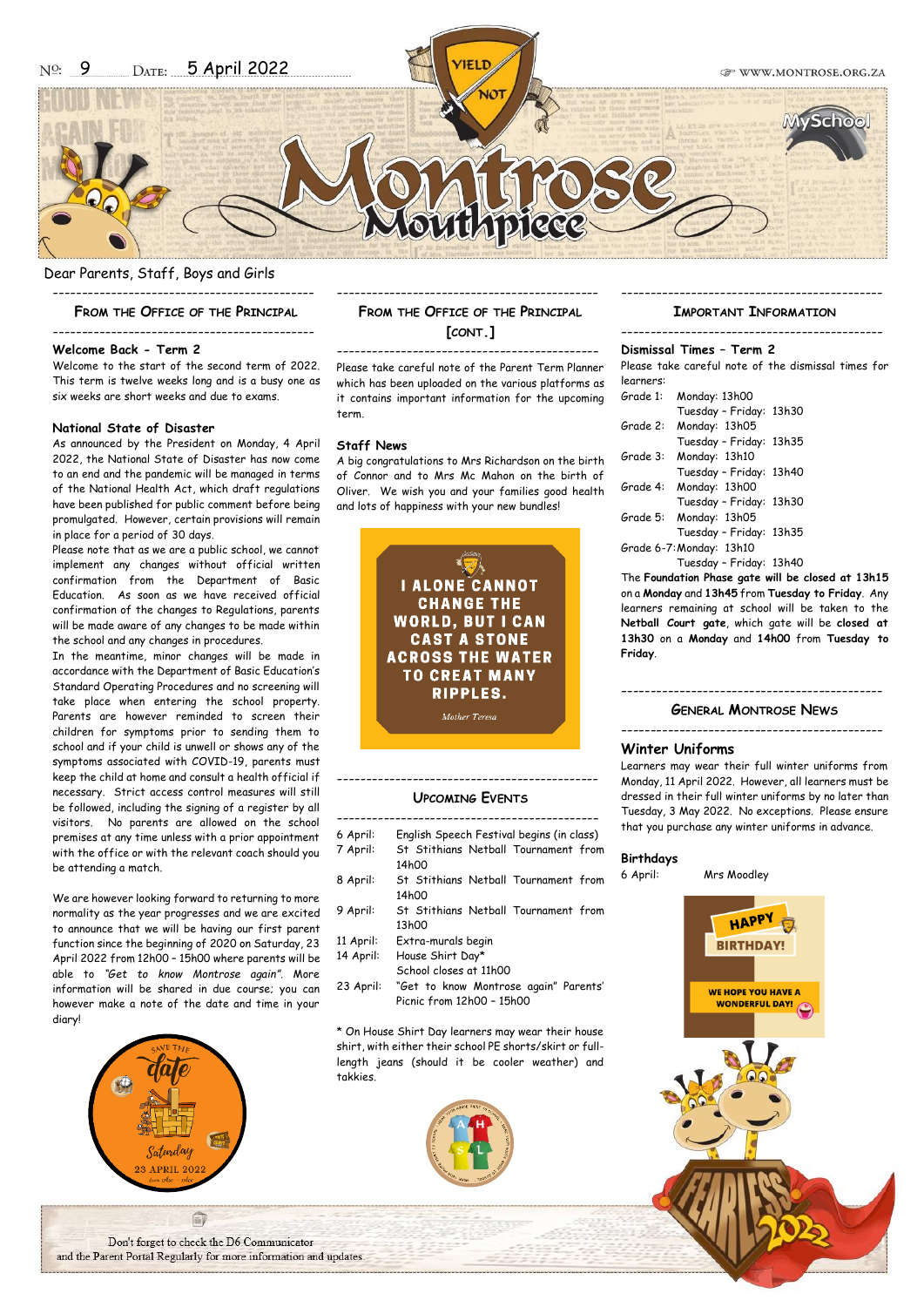Dear Parents, Staff, Boys and Girls

## --------------------------------------------- **FROM THE OFFICE OF THE PRINCIPAL**

---------------------------------------------

## **Welcome Back - Term 2**

Welcome to the start of the second term of 2022. This term is twelve weeks long and is a busy one as six weeks are short weeks and due to exams.

#### **National State of Disaster**

As announced by the President on Monday, 4 April 2022, the National State of Disaster has now come to an end and the pandemic will be managed in terms of the National Health Act, which draft regulations have been published for public comment before being promulgated. However, certain provisions will remain in place for a period of 30 days.

Please note that as we are a public school, we cannot implement any changes without official written confirmation from the Department of Basic Education. As soon as we have received official confirmation of the changes to Regulations, parents will be made aware of any changes to be made within the school and any changes in procedures.

In the meantime, minor changes will be made in accordance with the Department of Basic Education's Standard Operating Procedures and no screening will take place when entering the school property. Parents are however reminded to screen their children for symptoms prior to sending them to school and if your child is unwell or shows any of the symptoms associated with COVID-19, parents must keep the child at home and consult a health official if necessary. Strict access control measures will still be followed, including the signing of a register by all visitors. No parents are allowed on the school premises at any time unless with a prior appointment with the office or with the relevant coach should you be attending a match.

We are however looking forward to returning to more normality as the year progresses and we are excited to announce that we will be having our first parent function since the beginning of 2020 on Saturday, 23 April 2022 from 12h00 – 15h00 where parents will be able to *"Get to know Montrose again"*. More information will be shared in due course; you can however make a note of the date and time in your diary!



## **FROM THE OFFICE OF THE PRINCIPAL [CONT.]**

---------------------------------------------

--------------------------------------------- Please take careful note of the Parent Term Planner which has been uploaded on the various platforms as it contains important information for the upcoming term.

#### **Staff News**

A big congratulations to Mrs Richardson on the birth of Connor and to Mrs Mc Mahon on the birth of Oliver. We wish you and your families good health and lots of happiness with your new bundles!



## --------------------------------------------- **UPCOMING EVENTS**

- ---------------------------------------------
- 6 April: English Speech Festival begins (in class)
- 7 April: St Stithians Netball Tournament from 14h00 8 April: St Stithians Netball Tournament from
- 14h00
- 9 April: St Stithians Netball Tournament from 13h00
- 11 April: Extra-murals begin
- 14 April: House Shirt Day\* School closes at 11h00
- 23 April: "Get to know Montrose again" Parents' Picnic from 12h00 – 15h00

\* On House Shirt Day learners may wear their house shirt, with either their school PE shorts/skirt or fulllength jeans (should it be cooler weather) and takkies.



#### --------------------------------------------- **IMPORTANT INFORMATION**

# ---------------------------------------------

**Dismissal Times – Term 2**

Please take careful note of the dismissal times for learners:

| Grade 1: | Monday: 13h00            |  |
|----------|--------------------------|--|
|          | Tuesday - Friday: 13h30  |  |
| Grade 2: | Monday: 13h05            |  |
|          | Tuesday - Friday: 13h35  |  |
| Grade 3: | Monday: 13h10            |  |
|          | Tuesday - Friday: 13h40  |  |
| Grade 4: | Monday: 13h00            |  |
|          | Tuesday - Friday: 13h30  |  |
|          | Grade 5: Monday: 13h05   |  |
|          | Tuesday - Friday: 13h35  |  |
|          | Grade 6-7: Monday: 13h10 |  |
|          | Tuesday - Friday: 13h40  |  |

The **Foundation Phase gate will be closed at 13h15** on a **Monday** and **13h45** from **Tuesday to Friday**. Any learners remaining at school will be taken to the **Netball Court gate**, which gate will be **closed at 13h30** on a **Monday** and **14h00** from **Tuesday to Friday**.

## ---------------------------------------------

**GENERAL MONTROSE NEWS**

#### ---------------------------------------------

## **Winter Uniforms**

Learners may wear their full winter uniforms from Monday, 11 April 2022. However, all learners must be dressed in their full winter uniforms by no later than Tuesday, 3 May 2022. No exceptions. Please ensure that you purchase any winter uniforms in advance.

#### **Birthdays**

6 April: Mrs Moodley



Don't forget to check the D6 Communicator and the Parent Portal Regularly for more information and updates.